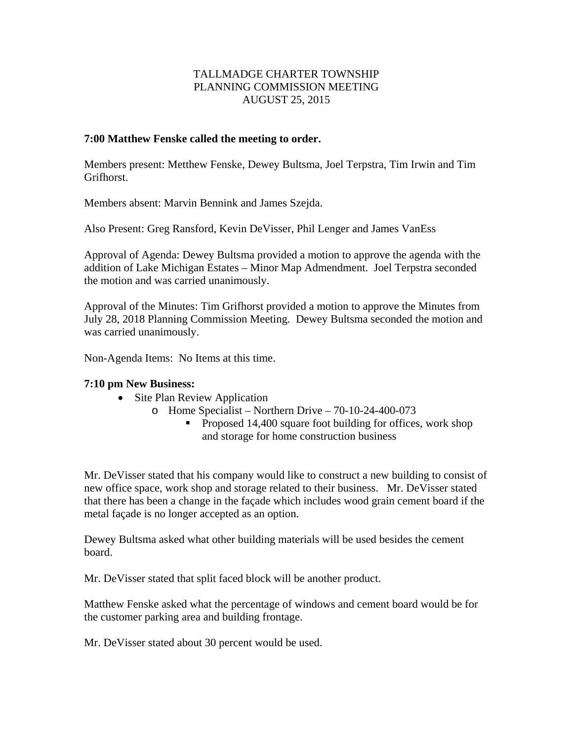## TALLMADGE CHARTER TOWNSHIP PLANNING COMMISSION MEETING AUGUST 25, 2015

## **7:00 Matthew Fenske called the meeting to order.**

Members present: Metthew Fenske, Dewey Bultsma, Joel Terpstra, Tim Irwin and Tim Grifhorst.

Members absent: Marvin Bennink and James Szejda.

Also Present: Greg Ransford, Kevin DeVisser, Phil Lenger and James VanEss

Approval of Agenda: Dewey Bultsma provided a motion to approve the agenda with the addition of Lake Michigan Estates – Minor Map Admendment. Joel Terpstra seconded the motion and was carried unanimously.

Approval of the Minutes: Tim Grifhorst provided a motion to approve the Minutes from July 28, 2018 Planning Commission Meeting. Dewey Bultsma seconded the motion and was carried unanimously.

Non-Agenda Items: No Items at this time.

## **7:10 pm New Business:**

- Site Plan Review Application
	- o Home Specialist Northern Drive 70-10-24-400-073
		- Proposed 14,400 square foot building for offices, work shop and storage for home construction business

Mr. DeVisser stated that his company would like to construct a new building to consist of new office space, work shop and storage related to their business. Mr. DeVisser stated that there has been a change in the façade which includes wood grain cement board if the metal façade is no longer accepted as an option.

Dewey Bultsma asked what other building materials will be used besides the cement board.

Mr. DeVisser stated that split faced block will be another product.

Matthew Fenske asked what the percentage of windows and cement board would be for the customer parking area and building frontage.

Mr. DeVisser stated about 30 percent would be used.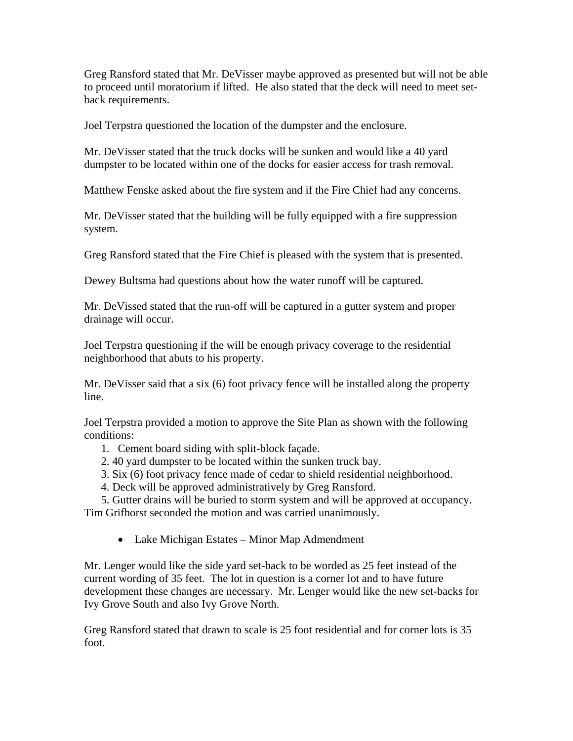Greg Ransford stated that Mr. DeVisser maybe approved as presented but will not be able to proceed until moratorium if lifted. He also stated that the deck will need to meet setback requirements.

Joel Terpstra questioned the location of the dumpster and the enclosure.

Mr. DeVisser stated that the truck docks will be sunken and would like a 40 yard dumpster to be located within one of the docks for easier access for trash removal.

Matthew Fenske asked about the fire system and if the Fire Chief had any concerns.

Mr. DeVisser stated that the building will be fully equipped with a fire suppression system.

Greg Ransford stated that the Fire Chief is pleased with the system that is presented.

Dewey Bultsma had questions about how the water runoff will be captured.

Mr. DeVissed stated that the run-off will be captured in a gutter system and proper drainage will occur.

Joel Terpstra questioning if the will be enough privacy coverage to the residential neighborhood that abuts to his property.

Mr. DeVisser said that a six (6) foot privacy fence will be installed along the property line.

Joel Terpstra provided a motion to approve the Site Plan as shown with the following conditions:

- 1. Cement board siding with split-block façade.
- 2. 40 yard dumpster to be located within the sunken truck bay.
- 3. Six (6) foot privacy fence made of cedar to shield residential neighborhood.
- 4. Deck will be approved administratively by Greg Ransford.
- 5. Gutter drains will be buried to storm system and will be approved at occupancy. Tim Grifhorst seconded the motion and was carried unanimously.
	- Lake Michigan Estates Minor Map Admendment

Mr. Lenger would like the side yard set-back to be worded as 25 feet instead of the current wording of 35 feet. The lot in question is a corner lot and to have future development these changes are necessary. Mr. Lenger would like the new set-backs for Ivy Grove South and also Ivy Grove North.

Greg Ransford stated that drawn to scale is 25 foot residential and for corner lots is 35 foot.